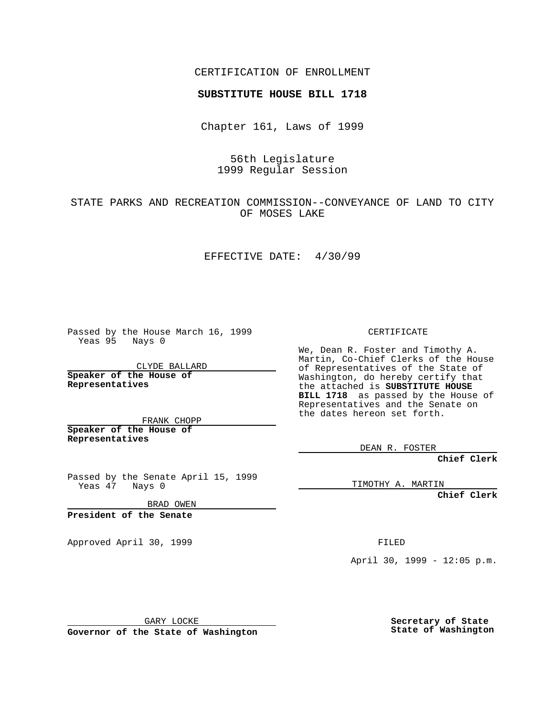CERTIFICATION OF ENROLLMENT

# **SUBSTITUTE HOUSE BILL 1718**

Chapter 161, Laws of 1999

## 56th Legislature 1999 Regular Session

## STATE PARKS AND RECREATION COMMISSION--CONVEYANCE OF LAND TO CITY OF MOSES LAKE

### EFFECTIVE DATE: 4/30/99

Passed by the House March 16, 1999 Yeas 95 Nays 0

CLYDE BALLARD **Speaker of the House of Representatives**

FRANK CHOPP **Speaker of the House of Representatives**

Passed by the Senate April 15, 1999 Yeas 47 Nays 0

BRAD OWEN

**President of the Senate**

Approved April 30, 1999 **FILED** 

### CERTIFICATE

We, Dean R. Foster and Timothy A. Martin, Co-Chief Clerks of the House of Representatives of the State of Washington, do hereby certify that the attached is **SUBSTITUTE HOUSE BILL 1718** as passed by the House of Representatives and the Senate on the dates hereon set forth.

DEAN R. FOSTER

**Chief Clerk**

TIMOTHY A. MARTIN

**Chief Clerk**

April 30, 1999 - 12:05 p.m.

GARY LOCKE

**Governor of the State of Washington**

**Secretary of State State of Washington**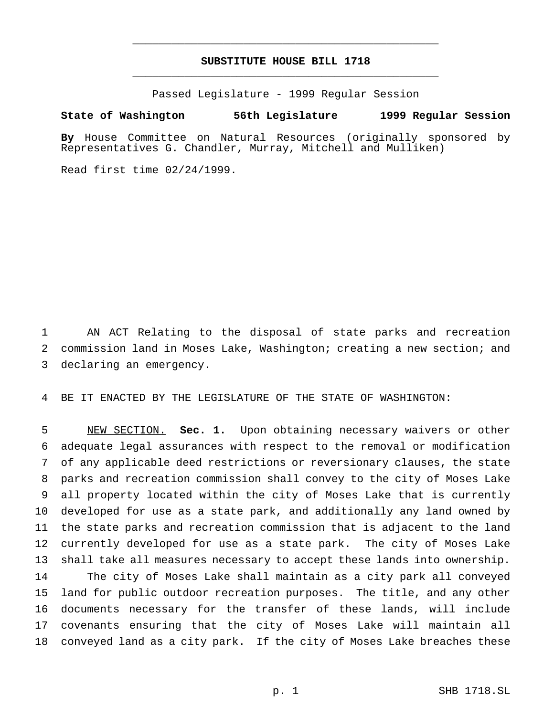## **SUBSTITUTE HOUSE BILL 1718** \_\_\_\_\_\_\_\_\_\_\_\_\_\_\_\_\_\_\_\_\_\_\_\_\_\_\_\_\_\_\_\_\_\_\_\_\_\_\_\_\_\_\_\_\_\_\_

\_\_\_\_\_\_\_\_\_\_\_\_\_\_\_\_\_\_\_\_\_\_\_\_\_\_\_\_\_\_\_\_\_\_\_\_\_\_\_\_\_\_\_\_\_\_\_

Passed Legislature - 1999 Regular Session

#### **State of Washington 56th Legislature 1999 Regular Session**

**By** House Committee on Natural Resources (originally sponsored by Representatives G. Chandler, Murray, Mitchell and Mulliken)

Read first time 02/24/1999.

 AN ACT Relating to the disposal of state parks and recreation commission land in Moses Lake, Washington; creating a new section; and declaring an emergency.

BE IT ENACTED BY THE LEGISLATURE OF THE STATE OF WASHINGTON:

 NEW SECTION. **Sec. 1.** Upon obtaining necessary waivers or other adequate legal assurances with respect to the removal or modification of any applicable deed restrictions or reversionary clauses, the state parks and recreation commission shall convey to the city of Moses Lake all property located within the city of Moses Lake that is currently developed for use as a state park, and additionally any land owned by the state parks and recreation commission that is adjacent to the land currently developed for use as a state park. The city of Moses Lake shall take all measures necessary to accept these lands into ownership. The city of Moses Lake shall maintain as a city park all conveyed land for public outdoor recreation purposes. The title, and any other documents necessary for the transfer of these lands, will include covenants ensuring that the city of Moses Lake will maintain all conveyed land as a city park. If the city of Moses Lake breaches these